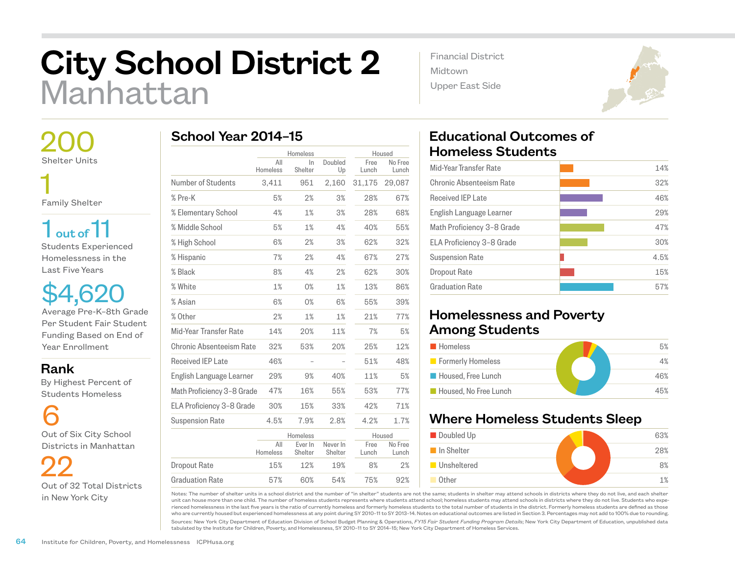## City School District 2 Manhattan

 200 Shelter Units 1

Family Shelter

 $1<sub>out of</sub>11$ Students Experienced Homelessness in the Last Five Years

\$4,620 Average Pre-K–8th Grade Per Student Fair Student Funding Based on End of Year Enrollment

Rank

 By Highest Percent of Students Homeless

6 Out of Six City School Districts in Manhattan

 22 Out of 32 Total Districts in New York City

|                            | Homeless        |                    | Housed              |               |                  |
|----------------------------|-----------------|--------------------|---------------------|---------------|------------------|
|                            | All<br>Homeless | In<br>Shelter      | Doubled<br>Up       | Free<br>Lunch | No Free<br>Lunch |
| Number of Students         | 3,411           | 951                | 2,160               | 31,175        | 29,087           |
| % Pre-K                    | 5%              | 2%                 | 3%                  | 28%           | 67%              |
| % Elementary School        | 4%              | 1%                 | 3%                  | 28%           | 68%              |
| % Middle School            | 5%              | 1%                 | 4%                  | 40%           | 55%              |
| % High School              | 6%              | 2%                 | 3%                  | 62%           | 32%              |
| % Hispanic                 | 7%              | 2%                 | 4%                  | 67%           | 27%              |
| % Black                    | 8%              | 4%                 | 2%                  | 62%           | 30%              |
| % White                    | 1%              | 0%                 | 1%                  | 13%           | 86%              |
| % Asian                    | 6%              | 0%                 | 6%                  | 55%           | 39%              |
| % Other                    | 2%              | 1%                 | 1%                  | 21%           | 77%              |
| Mid-Year Transfer Rate     | 14%             | 20%                | 11%                 | 7%            | 5%               |
| Chronic Absenteeism Rate   | 32%             | 53%                | 20%                 | 25%           | 12%              |
| <b>Received IEP Late</b>   | 46%             |                    |                     | 51%           | 48%              |
| English Language Learner   | 29%             | 9%                 | 40%                 | 11%           | 5%               |
| Math Proficiency 3-8 Grade | 47%             | 16%                | 55%                 | 53%           | 77%              |
| ELA Proficiency 3-8 Grade  | 30%             | 15%                | 33%                 | 42%           | 71%              |
| <b>Suspension Rate</b>     | 4.5%            | 7.9%               | 2.8%                | 4.2%          | 1.7%             |
|                            |                 | Homeless           |                     | Housed        |                  |
|                            | All<br>Homeless | Ever In<br>Shelter | Never In<br>Shelter | Free<br>Lunch | No Free<br>Lunch |
| <b>Dropout Rate</b>        | 15%             | 12%                | 19%                 | 8%            | 2%               |

57% 60% 54% 75% 92%

Financial District Midtown Upper East Side



## Educational Outcomes of Homeless Students

| 14%  |
|------|
| 32%  |
| 46%  |
| 29%  |
| 47%  |
| 30%  |
| 4.5% |
| 15%  |
| 57%  |
|      |

## Homelessness and Poverty Among Students

| <b>Homeless</b>       | 5%  |
|-----------------------|-----|
| Formerly Homeless     | 4%  |
| Housed, Free Lunch    | 46% |
| Housed, No Free Lunch | 45% |

## Where Homeless Students Sleep



Notes: The number of shelter units in a school district and the number of "in shelter" students are not the same; students in shelter may attend schools in districts where they do not live, and each shelter unit can house more than one child. The number of homeless students represents where students attend school; homeless students may attend schools in districts where they do not live. Students who experienced homelessness in the last five years is the ratio of currently homeless and formerly homeless students to the total number of students in the district. Formerly homeless students are defined as those who are currently housed but experienced homelessness at any point during SY 2010–11 to SY 2013–14. Notes on educational outcomes are listed in Section 3. Percentages may not add to 100% due to rounding.

Sources: New York City Department of Education Division of School Budget Planning & Operations, *FY15 Fair Student Funding Program Details*; New York City Department of Education, unpublished data tabulated by the Institute for Children, Poverty, and Homelessness, SY 2010–11 to SY 2014–15; New York City Department of Homeless Services.

Graduation Rate